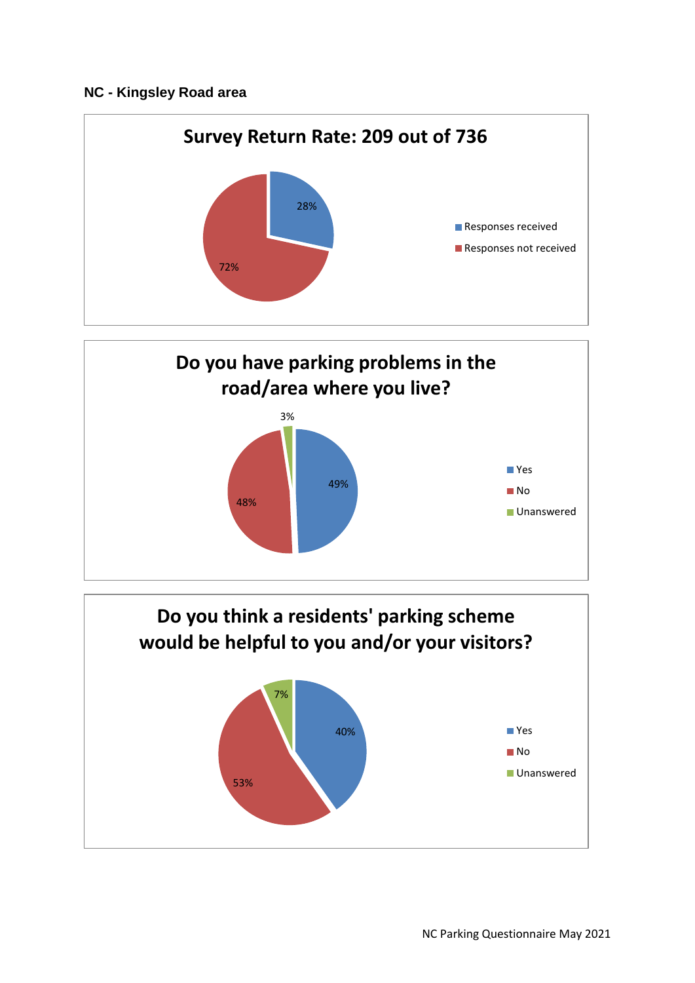## **NC - Kingsley Road area**





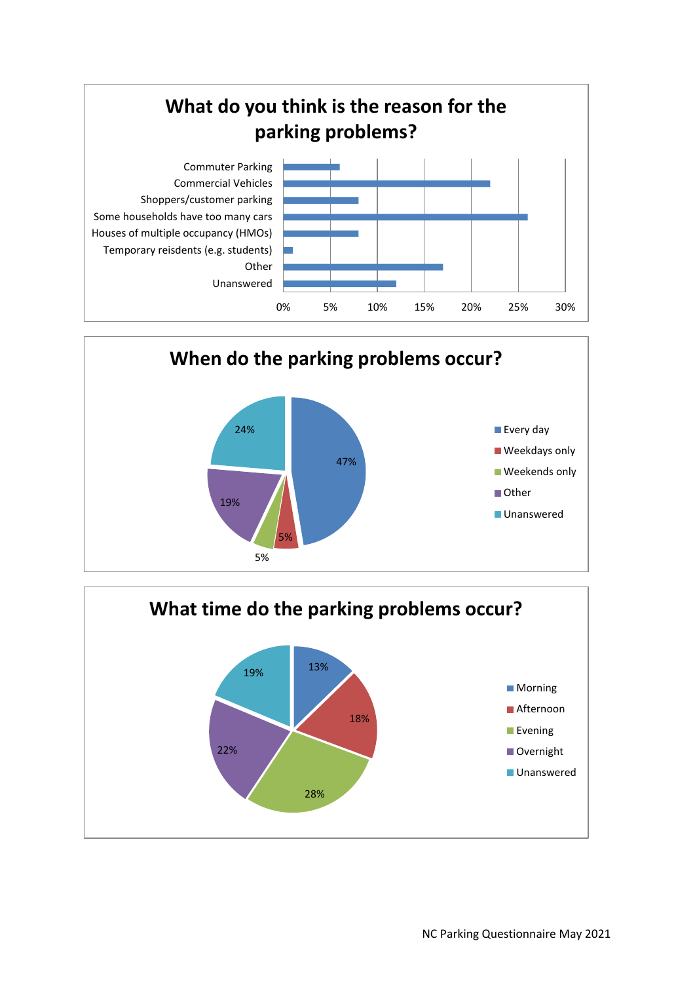



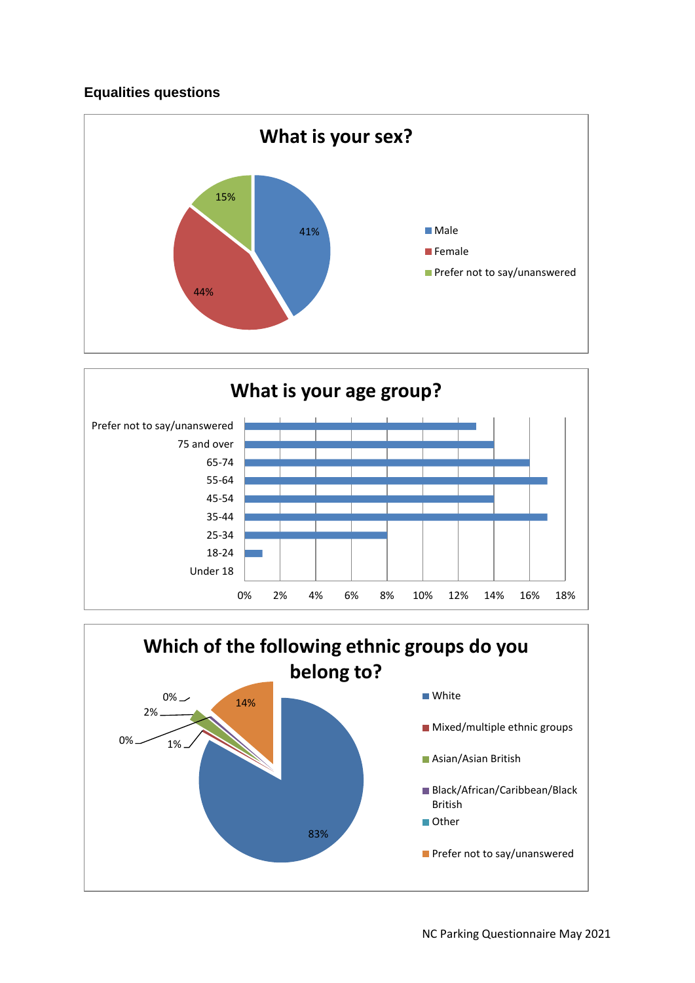## **Equalities questions**





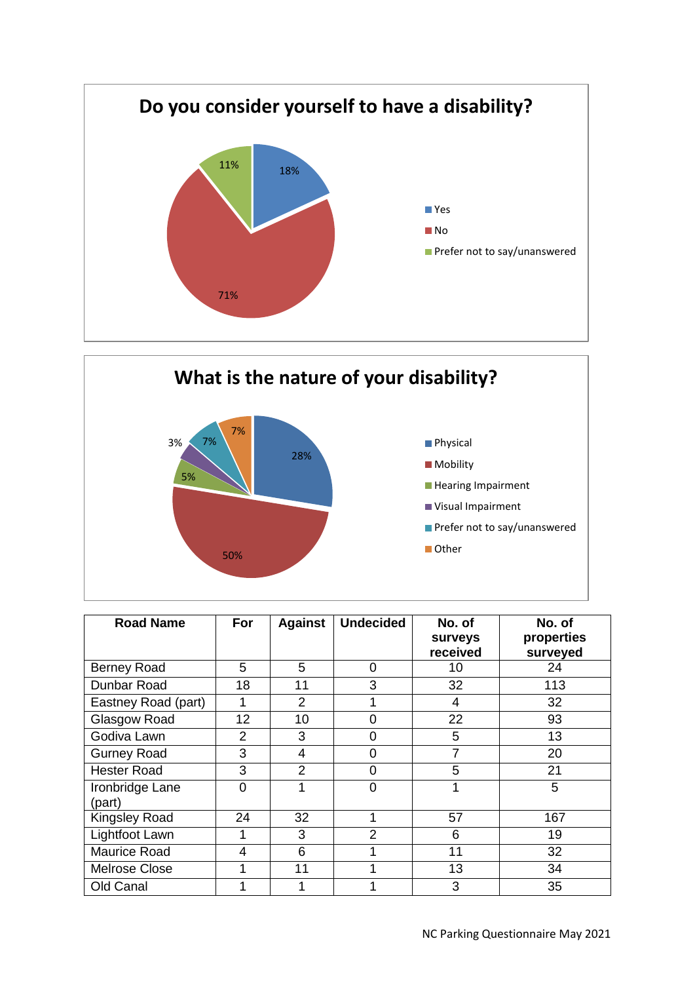



| <b>Road Name</b>          | For            | <b>Against</b> | <b>Undecided</b> | No. of<br>surveys<br>received | No. of<br>properties<br>surveyed |
|---------------------------|----------------|----------------|------------------|-------------------------------|----------------------------------|
| <b>Berney Road</b>        | 5              | 5              | 0                | 10                            | 24                               |
| Dunbar Road               | 18             | 11             | 3                | 32                            | 113                              |
| Eastney Road (part)       | 1              | $\overline{2}$ |                  | 4                             | 32                               |
| Glasgow Road              | 12             | 10             | 0                | 22                            | 93                               |
| Godiva Lawn               | $\overline{2}$ | 3              | 0                | 5                             | 13                               |
| <b>Gurney Road</b>        | 3              | 4              | 0                | 7                             | 20                               |
| <b>Hester Road</b>        | 3              | 2              | 0                | 5                             | 21                               |
| Ironbridge Lane<br>(part) | 0              |                | ი                |                               | 5                                |
| <b>Kingsley Road</b>      | 24             | 32             |                  | 57                            | 167                              |
| Lightfoot Lawn            | 1              | 3              | $\overline{2}$   | 6                             | 19                               |
| Maurice Road              | 4              | 6              |                  | 11                            | 32                               |
| Melrose Close             | 1              | 11             |                  | 13                            | 34                               |
| Old Canal                 | 1              |                |                  | 3                             | 35                               |